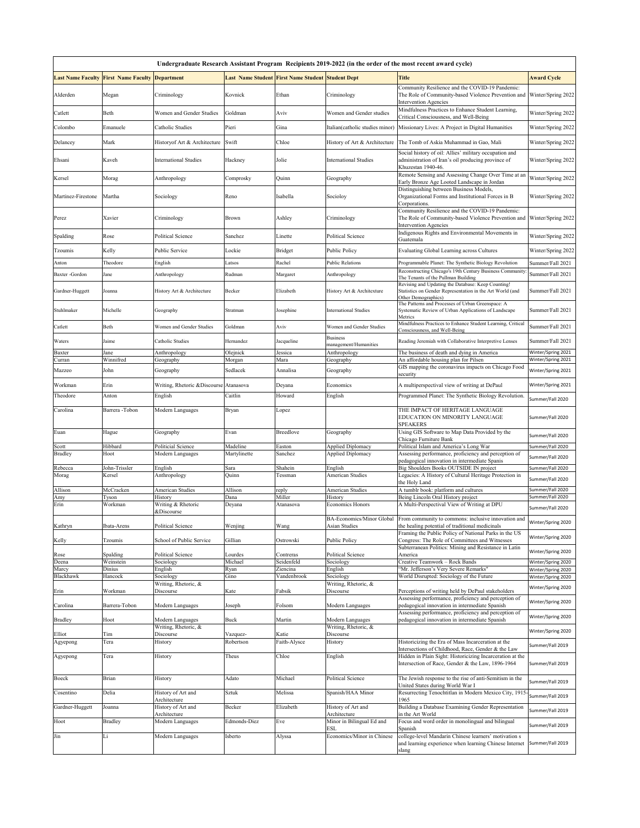| Undergraduate Research Assistant Program Recipients 2019-2022 (in the order of the most recent award cycle) |                           |                                        |                          |                                                          |                                                   |                                                                                                                                                                 |                                          |  |  |  |  |  |
|-------------------------------------------------------------------------------------------------------------|---------------------------|----------------------------------------|--------------------------|----------------------------------------------------------|---------------------------------------------------|-----------------------------------------------------------------------------------------------------------------------------------------------------------------|------------------------------------------|--|--|--|--|--|
| <b>Last Name Faculty</b>                                                                                    | <b>First Name Faculty</b> | <b>Department</b>                      |                          | <b>Last Name Student First Name Student Student Dept</b> |                                                   | <b>Title</b>                                                                                                                                                    | <b>Award Cycle</b>                       |  |  |  |  |  |
| Alderden                                                                                                    | Megan                     | Criminology                            | Kovnick                  | Ethan                                                    | Criminology                                       | Community Resilience and the COVID-19 Pandemic:<br>The Role of Community-based Violence Prevention and Winter/Spring 2022<br><b>Intervention Agencies</b>       |                                          |  |  |  |  |  |
| Catlett                                                                                                     | Beth                      | Women and Gender Studies               | Goldman                  | Aviv                                                     | Women and Gender studies                          | Mindfulness Practices to Enhance Student Learning,<br>Critical Consciousness, and Well-Being                                                                    | Winter/Spring 2022                       |  |  |  |  |  |
| Colombo                                                                                                     | Emanuele                  | Catholic Studies                       | Pieri                    | Gina                                                     | Italian(catholic studies minor)                   | Missionary Lives: A Project in Digital Humanities                                                                                                               | Winter/Spring 2022                       |  |  |  |  |  |
| Delancey                                                                                                    | Mark                      | Historyof Art & Architecture           | Swift                    | Chloe                                                    | History of Art & Architecture                     | The Tomb of Askia Muhammad in Gao, Mali                                                                                                                         | Winter/Spring 2022                       |  |  |  |  |  |
| Ehsani                                                                                                      | Kaveh                     | <b>International Studies</b>           | Hackney                  | Jolie                                                    | <b>International Studies</b>                      | Social history of oil: Allies' military occupation and<br>administration of Iran's oil producing province of<br>Khuzestan 1940-46.                              | Winter/Spring 2022                       |  |  |  |  |  |
| Kersel                                                                                                      | Morag                     | Anthropology                           | Comprosky                | Quinn                                                    | Geography                                         | Remote Sensing and Assessing Change Over Time at an<br>Early Bronze Age Looted Landscape in Jordan                                                              | Winter/Spring 2022                       |  |  |  |  |  |
| Martinez-Firestone                                                                                          | Martha                    | Sociology                              | Reno                     | Isabella                                                 | Socioloy                                          | Distinguishing between Business Models,<br>Organizational Forms and Institutional Forces in B<br>Corporations.                                                  | Winter/Spring 2022                       |  |  |  |  |  |
| Perez                                                                                                       | Xavier                    | Criminology                            | Brown                    | Ashley                                                   | Criminology                                       | Community Resilience and the COVID-19 Pandemic:<br>The Role of Community-based Violence Prevention and<br><b>Intervention Agencies</b>                          | Winter/Spring 2022                       |  |  |  |  |  |
| Spalding                                                                                                    | Rose                      | <b>Political Science</b>               | Sanchez                  | Linette                                                  | Political Science                                 | Indigenous Rights and Environmental Movements in<br>Guatemala                                                                                                   | Winter/Spring 2022                       |  |  |  |  |  |
| Tzoumis                                                                                                     | Kelly                     | Public Service                         | Lockie                   | Bridget                                                  | Public Policy                                     | Evaluating Global Learning across Cultures                                                                                                                      | Winter/Spring 2022                       |  |  |  |  |  |
| Anton                                                                                                       | Theodore                  | English                                | Latsos                   | Rachel                                                   | <b>Public Relations</b>                           | Programmable Planet: The Synthetic Biology Revolution                                                                                                           | Summer/Fall 2021                         |  |  |  |  |  |
| Baxter -Gordon                                                                                              | Jane                      | Anthropology                           | Rudman                   | Margaret                                                 | Anthropology                                      | Reconstructing Chicago's 19th Century Business Community<br>The Tenants of the Pullman Building                                                                 | Summer/Fall 2021                         |  |  |  |  |  |
| Gardner-Huggett                                                                                             | Joanna                    | History Art & Architecture             | Becker                   | Elizabeth                                                | History Art & Architexture                        | Revising and Updating the Database: Keep Counting!<br>Statistics on Gender Representation in the Art World (and<br>Other Demographics)                          | Summer/Fall 2021                         |  |  |  |  |  |
| Stuhlmaker                                                                                                  | Michelle                  | Geography                              | Stratman                 | Josephine                                                | <b>International Studies</b>                      | The Patterns and Processes of Urban Greenspace: A<br>Systematic Review of Urban Applications of Landscape<br>Metrics                                            | Summer/Fall 2021                         |  |  |  |  |  |
| Catlett                                                                                                     | Beth                      | Women and Gender Studies               | Goldman                  | Aviv                                                     | Women and Gender Studies                          | Mindfulness Practices to Enhance Student Learning, Critical<br>Consciousness, and Well-Being                                                                    | Summer/Fall 2021                         |  |  |  |  |  |
| Waters                                                                                                      | Jaime                     | Catholic Studies                       | Hernandez                | Jacqueline                                               | Business<br>nanagement/Humanities                 | Reading Jeremiah with Collaborative Interpretive Lenses                                                                                                         | Summer/Fall 2021                         |  |  |  |  |  |
| Baxter<br>Curran                                                                                            | Jane<br>Winnifred         | Anthropology<br>Geography              | Olejnick<br>Morgan       | Jessica<br>Mara                                          | Anthropology<br>Geography                         | The business of death and dying in America<br>An affordable housing plan for Pilsen                                                                             | Winter/Spring 2021<br>Winter/Spring 2021 |  |  |  |  |  |
| Mazzeo                                                                                                      | John                      | Geography                              | Sedlacek                 | Annalisa                                                 | Geography                                         | GIS mapping the coronavirus impacts on Chicago Food<br>security                                                                                                 | Winter/Spring 2021                       |  |  |  |  |  |
| Workman                                                                                                     | Erin                      | Writing, Rhetoric & Discourse          | Atanasova                | Deyana                                                   | Economics                                         | A multiperspectival view of writing at DePaul                                                                                                                   | Winter/Spring 2021                       |  |  |  |  |  |
| Theodore                                                                                                    | Anton                     | English                                | Caitlin                  | Howard                                                   | English                                           | Programmed Planet: The Synthetic Biology Revolution.                                                                                                            | Summer/Fall 2020                         |  |  |  |  |  |
| Carolina                                                                                                    | Barrera -Tobon            | Modern Languages                       | Bryan                    | Lopez                                                    |                                                   | THE IMPACT OF HERITAGE LANGUAGE<br>EDUCATION ON MINORITY LANGUAGE<br>SPEAKERS                                                                                   | Summer/Fall 2020                         |  |  |  |  |  |
| Euan                                                                                                        | Hague                     | Geography                              | Evan                     | <b>Breedlove</b>                                         | Geography                                         | Using GIS Software to Map Data Provided by the<br>Chicago Furniture Bank                                                                                        | Summer/Fall 2020                         |  |  |  |  |  |
| scott<br>Bradley                                                                                            | Hibbard<br>Hoot           | Politicial Science<br>Modern Languages | Madeline<br>Martylinette | Easton<br>Sanchez                                        | Applied Diplomacy<br>Applied Diplomacy            | Political Islam and America's Long War<br>Assessing performance, proficiency and perception of<br>pedagogical innovation in intermediate Spanis                 | Summer/Fall 2020<br>Summer/Fall 2020     |  |  |  |  |  |
| Rebecca<br>Morag                                                                                            | John-Trissler<br>Kersel   | English<br>Anthropology                | Sara<br>Quinn            | Shahein<br>Tessman                                       | English<br><b>American Studies</b>                | Big Shoulders Books OUTSIDE IN project<br>Legacies: A History of Cultural Heritage Protection in                                                                | Summer/Fall 2020                         |  |  |  |  |  |
|                                                                                                             |                           |                                        |                          |                                                          |                                                   | the Holy Land                                                                                                                                                   | Summer/Fall 2020                         |  |  |  |  |  |
| Allison<br>Amy                                                                                              | McCracken<br>Tyson        | American Studies<br>History            | Allison<br>Dana          | eply:<br>Miller                                          | American Studies<br>History                       | A tumblr book: platform and cultures<br>Being Lincoln Oral History project                                                                                      | Summer/Fall 2020<br>Summer/Fall 2020     |  |  |  |  |  |
| Erin                                                                                                        | Workman                   | Writing & Rhetoric<br>&Discourse       | Deyana                   | Atanasova                                                | Economics Honors                                  | A Multi-Perspectival View of Writing at DPU                                                                                                                     | Summer/Fall 2020                         |  |  |  |  |  |
| Kathryn                                                                                                     | Ibata-Arens               | <b>Political Science</b>               | Wenjing                  | Wang                                                     | <b>BA-Economics/Minor Global</b><br>Asian Studies | From community to commons: inclusive innovation and<br>the healing potential of traditional medicinals<br>Framing the Public Policy of National Parks in the US | Winter/Spring 2020                       |  |  |  |  |  |
| Kelly                                                                                                       | Tzoumis                   | School of Public Service               | Gillian                  | Ostrowski                                                | Public Policy                                     | Congress: The Role of Committees and Witnesses                                                                                                                  | Winter/Spring 2020                       |  |  |  |  |  |
| Rose                                                                                                        | Spalding                  | Political Science                      | Lourdes                  | Contreras                                                | Political Science                                 | Subterranean Politics: Mining and Resistance in Latin<br>America                                                                                                | Winter/Spring 2020                       |  |  |  |  |  |
| Deena<br>Marcy                                                                                              | Weinstein<br>Dinius       | Sociology<br>English                   | Michael<br>Ryan          | Seidenfeld<br>Ziencina                                   | Sociology<br>English                              | Creative Teamwork - Rock Bands<br>'Mr. Jefferson's Very Severe Remarks"                                                                                         | Winter/Spring 2020<br>Winter/Spring 2020 |  |  |  |  |  |
| <b>Blackhawk</b>                                                                                            | Hancock                   | Sociology                              | Gino                     | Vandenbrook                                              | Sociology                                         | World Disrupted: Sociology of the Future                                                                                                                        | Winter/Spring 2020                       |  |  |  |  |  |
| Erin                                                                                                        | Workman                   | Writing, Rhetoric, &<br>Discourse      | Kate                     | Fabsik                                                   | Writing, Rhetoric, &<br>Discourse                 | Perceptions of writing held by DePaul stakeholders                                                                                                              | Winter/Spring 2020                       |  |  |  |  |  |
| Carolina                                                                                                    | Barrera-Tobon             | Modern Languages                       | Joseph                   | Folsom                                                   | Modern Languages                                  | Assessing performance, proficiency and perception of<br>pedagogical innovation in intermediate Spanish                                                          | Winter/Spring 2020                       |  |  |  |  |  |
| <b>Bradley</b>                                                                                              | Hoot                      | Modern Languages                       | Buck                     | Martin                                                   | Modern Languages                                  | Assessing performance, proficiency and perception of<br>pedagogical innovation in intermediate Spanish                                                          | Winter/Spring 2020                       |  |  |  |  |  |
| Elliot                                                                                                      | Tim                       | Writing, Rhetoric, &<br>Discourse      | Vazquez-                 | Katie                                                    | Writing, Rhetoric, &<br>Discourse                 |                                                                                                                                                                 | Winter/Spring 2020                       |  |  |  |  |  |
| Agyepong                                                                                                    | Tera                      | History                                | Robertson                | Faith-Alysce                                             | History                                           | Historicizing the Era of Mass Incarceration at the<br>Intersections of Childhood, Race, Gender & the Law                                                        | Summer/Fall 2019                         |  |  |  |  |  |
| Agyepong                                                                                                    | Tera                      | History                                | Theus                    | Chloe                                                    | English                                           | Hidden in Plain Sight: Historicizing Incarceration at the<br>Intersection of Race, Gender & the Law, 1896-1964                                                  | Summer/Fall 2019                         |  |  |  |  |  |
| Boeck                                                                                                       | Brian                     | History                                | Adato                    | Michael                                                  | Political Science                                 | The Jewish response to the rise of anti-Semitism in the<br>United States during World War I                                                                     | Summer/Fall 2019                         |  |  |  |  |  |
| Cosentino                                                                                                   | Delia                     | History of Art and<br>Architecture     | Sztuk                    | Melissa                                                  | Spanish/HAA Minor                                 | Resurrecting Tenochtitlan in Modern Mexico City, 1915-<br>1965                                                                                                  | Summer/Fall 2019                         |  |  |  |  |  |
| Gardner-Huggett                                                                                             | Joanna                    | History of Art and                     | Becker                   | Elizabeth                                                | History of Art and                                | Building a Database Examining Gender Representation                                                                                                             | Summer/Fall 2019                         |  |  |  |  |  |
| Hoot                                                                                                        | <b>Bradley</b>            | Architecture<br>Modern Languages       | Edmonds-Diez             | Eve                                                      | Architecture<br>Minor in Bilingual Ed and         | in the Art World<br>Focus and word order in monolingual and bilingual                                                                                           | Summer/Fall 2019                         |  |  |  |  |  |
| Jin                                                                                                         | Li                        | Modern Languages                       | Isberto                  | Alyssa                                                   | ESL<br>Economics/Minor in Chinese                 | Spanish<br>college-level Mandarin Chinese learners' motivation s                                                                                                |                                          |  |  |  |  |  |
|                                                                                                             |                           |                                        |                          |                                                          |                                                   | and learning experience when learning Chinese Internet<br>slang                                                                                                 | Summer/Fall 2019                         |  |  |  |  |  |